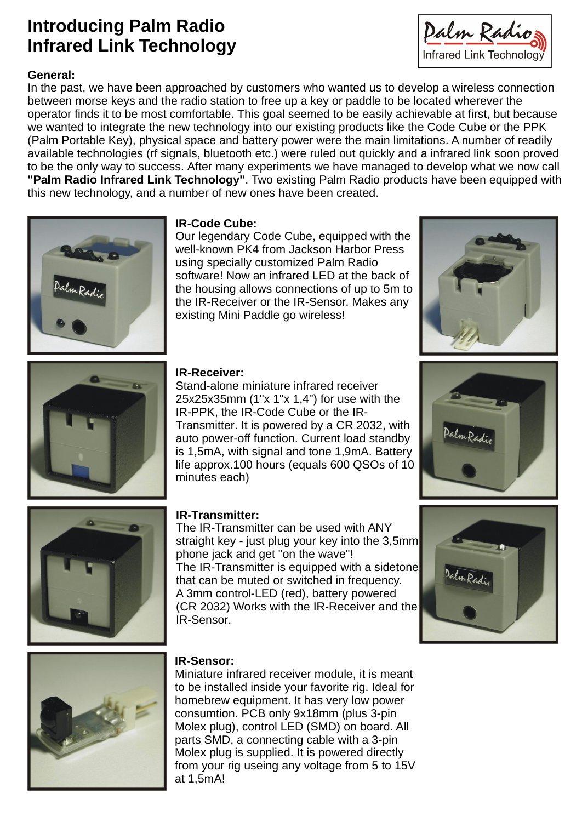# **Introducing Palm Radio Infrared Link Technology**

**General: "Palm Radio Infrared Link Technology"** . Two existing Palm Radio products have been equipped with In the past, we have been approached by customers who wanted us to develop a wireless connection between morse keys and the radio station to free up a key or paddle to be located wherever the operator finds it to be most comfortable. This goal seemed to be easily achievable at first, but because we wanted to integrate the new technology into our existing products like the Code Cube or the PPK (Palm Portable Key), physical space and battery power were the main limitations. A number of readily available technologies (rf signals, bluetooth etc.) were ruled out quickly and a infrared link soon proved to be the only way to success. After many experiments we have managed to develop what we now call this new technology, and a number of new ones have been created.



Our legendary Code Cube, equipped with the well-known PK4 from Jackson Harbor Press using specially customized Palm Radio **Contract of the Contract of Contract of Contract of Contract of Contract o** software! Now an infrared LED at the back of the housing allows connections of up to 5m to the IR-Receiver or the IR-Sensor. Makes any existing Mini Paddle go wireless!

Stand-alone miniature infrared receiver 25x25x35mm (1"x 1"x 1,4") for use with the IR-PPK, the IR-Code Cube or the IR- Transmitter. It is powered by a CR 2032, with auto power-off function. Current load standby is 1,5mA, with signal and tone 1,9mA. Battery life approx.100 hours (equals 600 QSOs of 10 minutes each) **and the contract of the contract of the contract of the contract of the contract of the contract of the contract of the contract of the contract of the contract of the contract of the contract of the contrac** 

The IR-Transmitter can be used with ANY straight key - just plug your key into the 3,5mm phone jack and get "on the wave"! The IR-Transmitter is equipped with a sidetone that can be muted or switched in frequency. A 3mm control-LED (red), battery powered (CR 2032) Works with the IR-Receiver and the IR-Sensor.



# **IR-Sensor:**

Miniature infrared receiver module, it is meant to be installed inside your favorite rig. Ideal for homebrew equipment. It has very low power consumtion. PCB only 9x18mm (plus 3-pin Molex plug), control LED (SMD) on board. All parts SMD, a connecting cable with a 3-pin Molex plug is supplied. It is powered directly from your rig useing any voltage from 5 to 15V at 1,5mA!